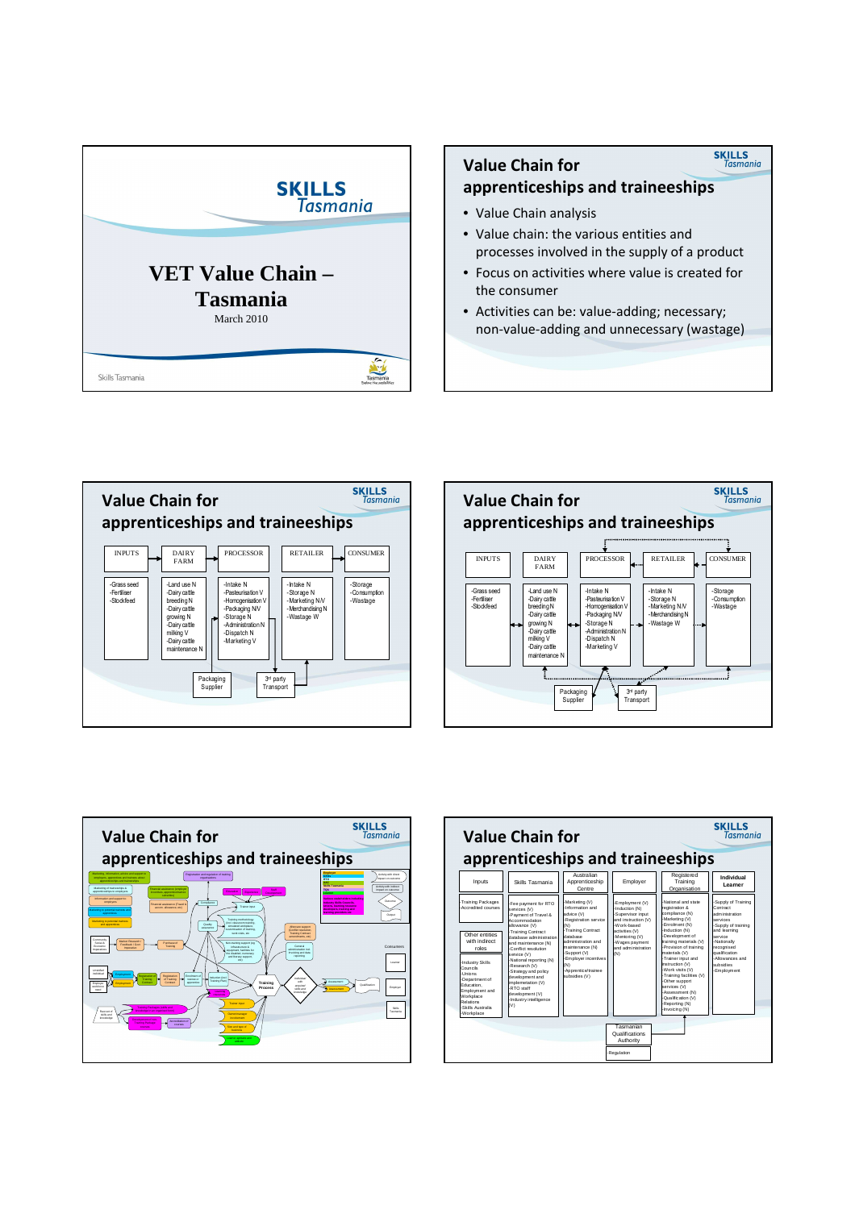

# **SKILLS**<br>Tasmania Value Chain for apprenticeships and traineeships • Value Chain analysis

- Value chain: the various entities and processes involved in the supply of a product
- Focus on activities where value is created for the consumer
- Activities can be: value-adding; necessary; non-value-adding and unnecessary (wastage)







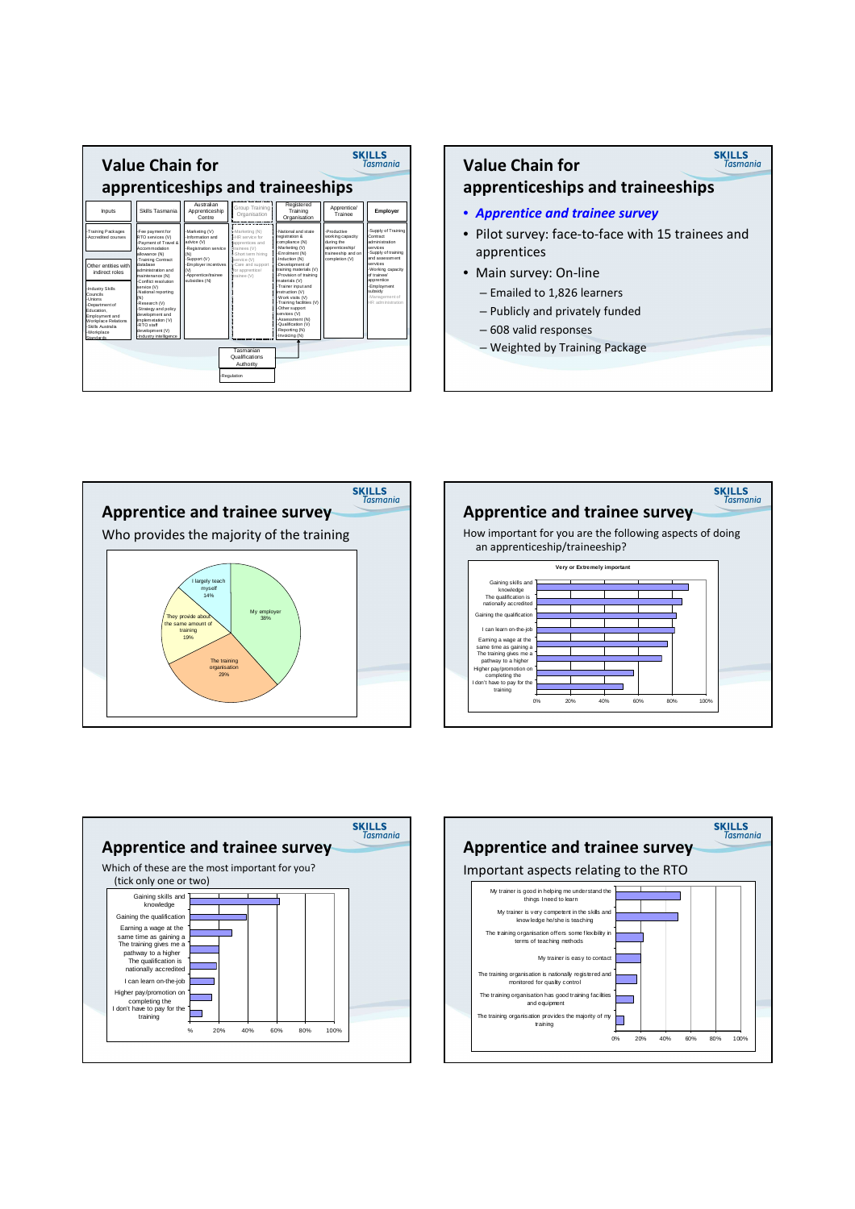

### **SKILLS**<br>Tasmania Value Chain for apprenticeships and traineeships • Apprentice and trainee survey • Pilot survey: face-to-face with 15 trainees and apprentices • Main survey: On-line

- Emailed to 1,826 learners
- Publicly and privately funded
- 
- 608 valid responses – Weighted by Training Package